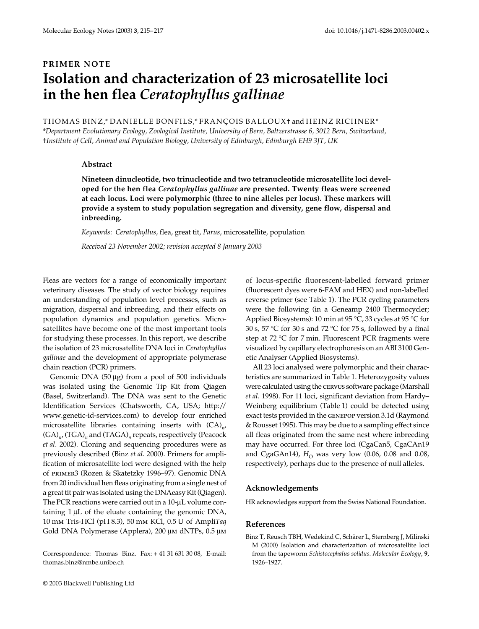## **PRIMER NOTE Isolation and characterization of 23 microsatellite loci in the hen flea** *Ceratophyllus gallinae*

THOMAS BINZ,\* DANIELLE BONFILS,\* FRANÇOIS BALLOUX† and HEINZ RICHNER\*

\**Department Evolutionary Ecology, Zoological Institute, University of Bern, Baltzerstrasse 6, 3012 Bern, Switzerland,*  †*Institute of Cell, Animal and Population Biology, University of Edinburgh, Edinburgh EH9 3JT, UK* 

## **Abstract**

**Nineteen dinucleotide, two trinucleotide and two tetranucleotide microsatellite loci developed for the hen flea** *Ceratophyllus gallinae* **are presented. Twenty fleas were screened at each locus. Loci were polymorphic (three to nine alleles per locus). These markers will provide a system to study population segregation and diversity, gene flow, dispersal and inbreeding.**

*Keywords*: *Ceratophyllus*, flea, great tit, *Parus*, microsatellite, population

*Received 23 November 2002; revision accepted 8 January 2003*

Fleas are vectors for a range of economically important veterinary diseases. The study of vector biology requires an understanding of population level processes, such as migration, dispersal and inbreeding, and their effects on population dynamics and population genetics. Microsatellites have become one of the most important tools for studying these processes. In this report, we describe the isolation of 23 microsatellite DNA loci in *Ceratophyllus gallinae* and the development of appropriate polymerase chain reaction (PCR) primers.

Genomic DNA (50 µg) from a pool of 500 individuals was isolated using the Genomic Tip Kit from Qiagen (Basel, Switzerland). The DNA was sent to the Genetic Identification Services (Chatsworth, CA, USA; http:// www.genetic-id-services.com) to develop four enriched microsatellite libraries containing inserts with (CA)*n*, (GA)*n*, (TGA)*<sup>n</sup>* and (TAGA)*<sup>n</sup>* repeats, respectively (Peacock *et al*. 2002). Cloning and sequencing procedures were as previously described (Binz *et al*. 2000). Primers for amplification of microsatellite loci were designed with the help of primer3 (Rozen & Skatetzky 1996–97). Genomic DNA from 20 individual hen fleas originating from a single nest of a great tit pair was isolated using the DNAeasy Kit (Qiagen). The PCR reactions were carried out in a 10-µL volume containing 1 µL of the eluate containing the genomic DNA, 10 mm Tris-HCl (pH 8.3), 50 mm KCl, 0.5 U of Ampli*Taq* Gold DNA Polymerase (Applera), 200 µm dNTPs, 0.5 µm

Correspondence: Thomas Binz. Fax: + 41 31 631 30 08, E-mail: thomas.binz@nmbe.unibe.ch

of locus-specific fluorescent-labelled forward primer (fluorescent dyes were 6-FAM and HEX) and non-labelled reverse primer (see Table 1). The PCR cycling parameters were the following (in a Geneamp 2400 Thermocycler; Applied Biosystems): 10 min at 95 °C, 33 cycles at 95 °C for 30 s, 57 °C for 30 s and 72 °C for 75 s, followed by a final step at 72 °C for 7 min. Fluorescent PCR fragments were visualized by capillary electrophoresis on an ABI 3100 Genetic Analyser (Applied Biosystems).

All 23 loci analysed were polymorphic and their characteristics are summarized in Table 1. Heterozygosity values were calculated using the cervus software package (Marshall *et al*. 1998). For 11 loci, significant deviation from Hardy– Weinberg equilibrium (Table 1) could be detected using exact tests provided in the genepop version 3.1d (Raymond & Rousset 1995). This may be due to a sampling effect since all fleas originated from the same nest where inbreeding may have occurred. For three loci (CgaCan5, CgaCAn19 and CgaGAn14),  $H_0$  was very low (0.06, 0.08 and 0.08, respectively), perhaps due to the presence of null alleles.

## **Acknowledgements**

HR acknowledges support from the Swiss National Foundation.

## **References**

Binz T, Reusch TBH, Wedekind C, Schärer L, Sternberg J, Milinski M (2000) Isolation and characterization of microsatellite loci from the tapeworm *Schistocephalus solidus*. *Molecular Ecology*, **9**, 1926–1927.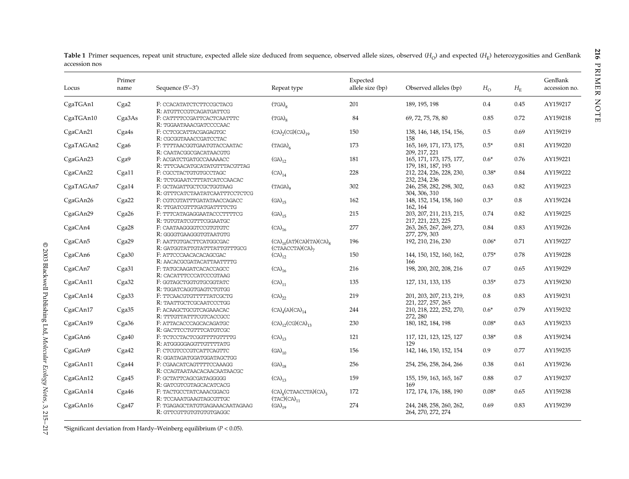| Locus     | Primer<br>name    | Sequence (5'-3')                                           | Repeat type                                                    | Expected<br>allele size (bp) | Observed alleles (bp)                          | $H_{\rm O}$ | $H_{\rm E}$ | GenBank<br>accession no. |
|-----------|-------------------|------------------------------------------------------------|----------------------------------------------------------------|------------------------------|------------------------------------------------|-------------|-------------|--------------------------|
| CgaTGAn1  | Cga <sub>2</sub>  | F: CCACATATCTCTTCCGCTACG<br>R: ATGTTCCGTCAGATGATTCG        | $(TGA)_{8}$                                                    | 201                          | 189, 195, 198                                  | $0.4\,$     | 0.45        | AY159217                 |
| CgaTGAn10 | Cga3As            | F: CATTTTCCGATTCACTCAATTTC<br>R: TGGAATAAACGATCCCCAAC      | $(TGA)_{8}$                                                    | 84                           | 69, 72, 75, 78, 80                             | 0.85        | 0.72        | AY159218                 |
| CgaCAn21  | Cga4s             | F: CCTCGCATTACGAGAGTGC<br>R: CGCGGTAAACCGATCCTAC           | $(CA)$ <sub>2</sub> $(CG)(CA)$ <sub>19</sub>                   | 150                          | 138, 146, 148, 154, 156,<br>158                | 0.5         | 0.69        | AY159219                 |
| CgaTAGAn2 | Cga <sub>6</sub>  | F: TTTTAACGGTGAATGTACCAATAC<br>R: CAATACGGCGACATAACGTG     | $(TAGA)_{6}$                                                   | 173                          | 165, 169, 171, 173, 175,<br>209, 217, 221      | $0.5*$      | 0.81        | AY159220                 |
| CgaGAn23  | Cga9              | F: ACGATCTGATGCCAAAAACC<br>R: TTTCAACATGCATATGTTTACGTTAG   | $(GA)_{12}$                                                    | 181                          | 165, 171, 173, 175, 177,<br>179, 181, 187, 193 | $0.6*$      | 0.76        | AY159221                 |
| CgaCAn22  | Cga11             | F: CGCCTACTGTGTGCCTAGC<br>R: TCTGGAATCTTTATCATCCAACAC      | $(CA)_{14}$                                                    | 228                          | 212, 224, 226, 228, 230,<br>232, 234, 236      | $0.38*$     | 0.84        | AY159222                 |
| CgaTAGAn7 | Cga14             | F: GCTAGATTGCTCGCTGGTAAG<br>R: GTTTCATCTAATATCAATTTCCTCTCG | (TAGA)                                                         | 302                          | 246, 258, 282, 298, 302,<br>304, 306, 310      | 0.63        | 0.82        | AY159223                 |
| CgaGAn26  | Cga22             | F: CGTCGTATTTGATATAACCAGACC<br>R: TTGATCGTTTGATGATTTTCTG   | $(GA)_{15}$                                                    | 162                          | 148, 152, 154, 158, 160<br>162, 164            | $0.3*$      | 0.8         | AY159224                 |
| CgaGAn29  | Cga26             | F: TTTCATAGAGGAATACCCTTTTCG<br>R: TGTGTATCGTTTCGGAATGC     | $(GA)_{15}$                                                    | 215                          | 203, 207, 211, 213, 215,<br>217, 221, 223, 225 | 0.74        | 0.82        | AY159225                 |
| CgaCAn4   | Cga <sub>28</sub> | F: CAATAAGGGGTCCGTGTGTC<br>R: GGGGTGAAGGGTGTAATGTG         | $(CA)_{16}$                                                    | 277                          | 263, 265, 267, 269, 273,<br>277, 279, 303      | 0.84        | 0.83        | AY159226                 |
| CgaCAn5   | Cga29             | F: AATTGTGACTTCATGGCGAC<br>R: GATGGTATTGTATTTATTGTTTGCG    | $(CA)_{10}(AT)(CA)(TA)(CA)_{8}$<br>(CTAACCTA)(CA) <sub>7</sub> | 196                          | 192, 210, 216, 230                             | $0.06*$     | 0.71        | AY159227                 |
| CgaCAn6   | Cga30             | F: ATTCCCAACACACAGCGAC<br>R: AACACGCGATACATTAATTTTG        | $(CA)_{12}$                                                    | 150                          | 144, 150, 152, 160, 162,<br>166                | $0.75*$     | 0.78        | AY159228                 |
| CgaCAn7   | Cga31             | F: TATGCAAGATCACACCAGCC<br>R: CACATTTCCCATCCCGTAAG         | $(CA)_{16}$                                                    | 216                          | 198, 200, 202, 208, 216                        | 0.7         | 0.65        | AY159229                 |
| CgaCAn11  | Cga32             | F: GGTAGCTGGTGTGCGGTATC<br>R: TGGATCAGGTGAGTCTGTGG         | $(CA)_{11}$                                                    | 135                          | 127, 131, 133, 135                             | $0.35*$     | 0.73        | AY159230                 |
| CgaCAn14  | Cga33             | F: TTCAACGTGTTTTTATCGCTG<br>R: TAATTGCTCGCAATCCCTGG        | $(CA)_{22}$                                                    | 219                          | 201, 203, 207, 213, 219,<br>221, 227, 257, 265 | 0.8         | 0.83        | AY159231                 |
| CgaCAn17  | Cga35             | F: ACAAGCTGCGTCAGAAACAC<br>R: TTTGTTATTTCGTCACCGCC         | (CA) <sub>4</sub> (A)(CA) <sub>14</sub>                        | 244                          | 210, 218, 222, 252, 270,<br>272, 280           | $0.6*$      | 0.79        | AY159232                 |
| CgaCAn19  | Cga36             | F: ATTACACCCAGCACAGATGC<br>R: GACTTCCTGTTTCATGTCGC         | $(CA)_{12}(CG)(CA)_{13}$                                       | 230                          | 180, 182, 184, 198                             | $0.08*$     | 0.63        | AY159233                 |
| CgaGAn6   | Cga40             | F: TCTCCTACTCGGTTTTGTTTTG<br>R: ATGGGGGAGGTTGTTTTATG       | $(CA)_{13}$                                                    | 121                          | 117, 121, 123, 125, 127<br>129                 | $0.38*$     | 0.8         | AY159234                 |
| CgaGAn9   | Cga42             | F: CTCGTCCCGTCATTCAGTTC<br>R: GGATAGATGGATGGATAGCTGG       | $(GA)_{10}$                                                    | 156                          | 142, 146, 150, 152, 154                        | 0.9         | 0.77        | AY159235                 |
| CgaGAn11  | Cga44             | F: CGAACATCAGTTTTCCAAAGG<br>R: CCAGTAATAACACAACAATAACGC    | $(GA)_{18}$                                                    | 256                          | 254, 256, 258, 264, 266                        | 0.38        | 0.61        | AY159236                 |
| CgaGAn12  | Cga45             | F: GCTATTCAGCGATAGGGGG<br>R: GATCGTCGTAGCACATCACG          | $(CA)_{13}$                                                    | 159                          | 155, 159, 163, 165, 167<br>169                 | 0.88        | 0.7         | AY159237                 |
| CgaGAn14  | Cga46             | F: TACTGCCTATCAAACGGACG<br>R: TCCAAATGAAGTAGCGTTGC         | $(CA)_{8}$ (CTAACCTA) $(CA)_{3}$<br>$(TAC)(CA)_{11}$           | 172                          | 172, 174, 176, 188, 190                        | $0.08*$     | 0.65        | AY159238                 |
| CgaGAn16  | Cga47             | F: TGAGAGCTATGTGAGAAACAATAGAAG<br>R: GTTCGTTGTGTGTGTGAGGC  | $(GA)_{19}$                                                    | 274                          | 244, 248, 258, 260, 262,<br>264, 270, 272, 274 | 0.69        | 0.83        | AY159239                 |

Table 1 Primer sequences, repeat unit structure, expected allele size deduced from sequence, observed allele sizes, observed (H<sub>O</sub>) and expected (H<sub>E</sub>) heterozygosities and GenBank accession nos

\*Significant deviation from Hardy–Weinberg equilibrium (*<sup>P</sup>* < 0.05).